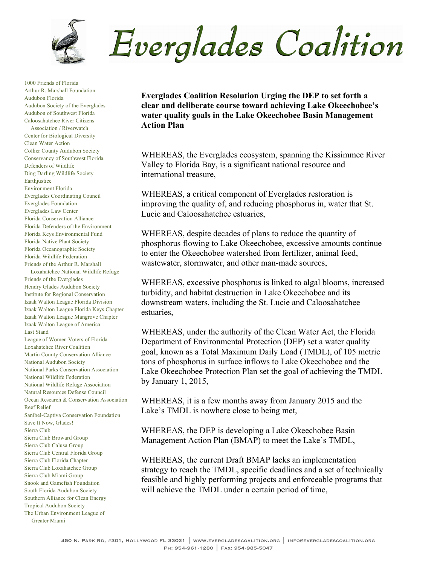

1000 Friends of Florida Arthur R. Marshall Foundation Audubon Florida Audubon Society of the Everglades Audubon of Southwest Florida Caloosahatchee River Citizens Association / Riverwatch Center for Biological Diversity Clean Water Action Collier County Audubon Society Conservancy of Southwest Florida Defenders of Wildlife Ding Darling Wildlife Society Earthjustice Environment Florida Everglades Coordinating Council Everglades Foundation Everglades Law Center Florida Conservation Alliance Florida Defenders of the Environment Florida Keys Environmental Fund Florida Native Plant Society Florida Oceanographic Society Florida Wildlife Federation Friends of the Arthur R. Marshall Loxahatchee National Wildlife Refuge Friends of the Everglades Hendry Glades Audubon Society Institute for Regional Conservation Izaak Walton League Florida Division Izaak Walton League Florida Keys Chapter Izaak Walton League Mangrove Chapter Izaak Walton League of America Last Stand League of Women Voters of Florida Loxahatchee River Coalition Martin County Conservation Alliance National Audubon Society National Parks Conservation Association National Wildlife Federation National Wildlife Refuge Association Natural Resources Defense Council Ocean Research & Conservation Association Reef Relief Sanibel-Captiva Conservation Foundation Save It Now, Glades! Sierra Club Sierra Club Broward Group Sierra Club Calusa Group Sierra Club Central Florida Group Sierra Club Florida Chapter Sierra Club Loxahatchee Group Sierra Club Miami Group Snook and Gamefish Foundation

South Florida Audubon Society Southern Alliance for Clean Energy Tropical Audubon Society

The Urban Environment League of Greater Miami

Everglades Coalition

**Everglades Coalition Resolution Urging the DEP to set forth a clear and deliberate course toward achieving Lake Okeechobee's water quality goals in the Lake Okeechobee Basin Management Action Plan**

WHEREAS, the Everglades ecosystem, spanning the Kissimmee River Valley to Florida Bay, is a significant national resource and international treasure,

WHEREAS, a critical component of Everglades restoration is improving the quality of, and reducing phosphorus in, water that St. Lucie and Caloosahatchee estuaries,

WHEREAS, despite decades of plans to reduce the quantity of phosphorus flowing to Lake Okeechobee, excessive amounts continue to enter the Okeechobee watershed from fertilizer, animal feed, wastewater, stormwater, and other man-made sources,

WHEREAS, excessive phosphorus is linked to algal blooms, increased turbidity, and habitat destruction in Lake Okeechobee and its downstream waters, including the St. Lucie and Caloosahatchee estuaries,

WHEREAS, under the authority of the Clean Water Act, the Florida Department of Environmental Protection (DEP) set a water quality goal, known as a Total Maximum Daily Load (TMDL), of 105 metric tons of phosphorus in surface inflows to Lake Okeechobee and the Lake Okeechobee Protection Plan set the goal of achieving the TMDL by January 1, 2015,

WHEREAS, it is a few months away from January 2015 and the Lake's TMDL is nowhere close to being met,

WHEREAS, the DEP is developing a Lake Okeechobee Basin Management Action Plan (BMAP) to meet the Lake's TMDL,

WHEREAS, the current Draft BMAP lacks an implementation strategy to reach the TMDL, specific deadlines and a set of technically feasible and highly performing projects and enforceable programs that will achieve the TMDL under a certain period of time,